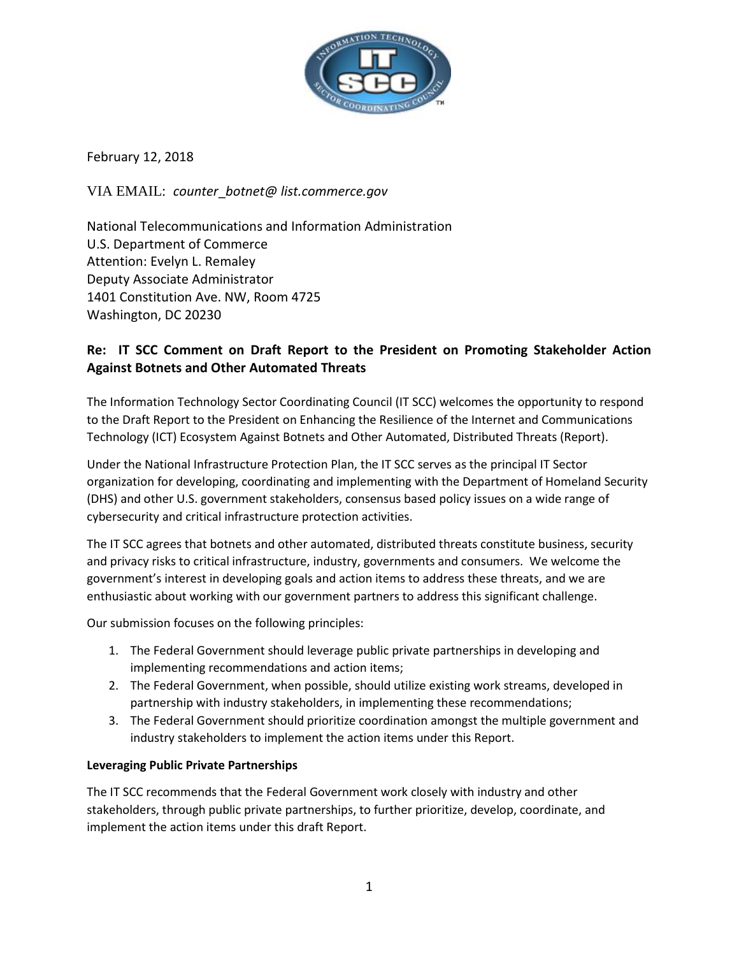

February 12, 2018

VIA EMAIL: *counter*\_*botnet@ list.commerce.gov*

National Telecommunications and Information Administration U.S. Department of Commerce Attention: Evelyn L. Remaley Deputy Associate Administrator 1401 Constitution Ave. NW, Room 4725 Washington, DC 20230

# **Re: IT SCC Comment on Draft Report to the President on Promoting Stakeholder Action Against Botnets and Other Automated Threats**

The Information Technology Sector Coordinating Council (IT SCC) welcomes the opportunity to respond to the Draft Report to the President on Enhancing the Resilience of the Internet and Communications Technology (ICT) Ecosystem Against Botnets and Other Automated, Distributed Threats (Report).

Under the National Infrastructure Protection Plan, the IT SCC serves as the principal IT Sector organization for developing, coordinating and implementing with the Department of Homeland Security (DHS) and other U.S. government stakeholders, consensus based policy issues on a wide range of cybersecurity and critical infrastructure protection activities.

The IT SCC agrees that botnets and other automated, distributed threats constitute business, security and privacy risks to critical infrastructure, industry, governments and consumers. We welcome the government's interest in developing goals and action items to address these threats, and we are enthusiastic about working with our government partners to address this significant challenge.

Our submission focuses on the following principles:

- 1. The Federal Government should leverage public private partnerships in developing and implementing recommendations and action items;
- 2. The Federal Government, when possible, should utilize existing work streams, developed in partnership with industry stakeholders, in implementing these recommendations;
- 3. The Federal Government should prioritize coordination amongst the multiple government and industry stakeholders to implement the action items under this Report.

## **Leveraging Public Private Partnerships**

The IT SCC recommends that the Federal Government work closely with industry and other stakeholders, through public private partnerships, to further prioritize, develop, coordinate, and implement the action items under this draft Report.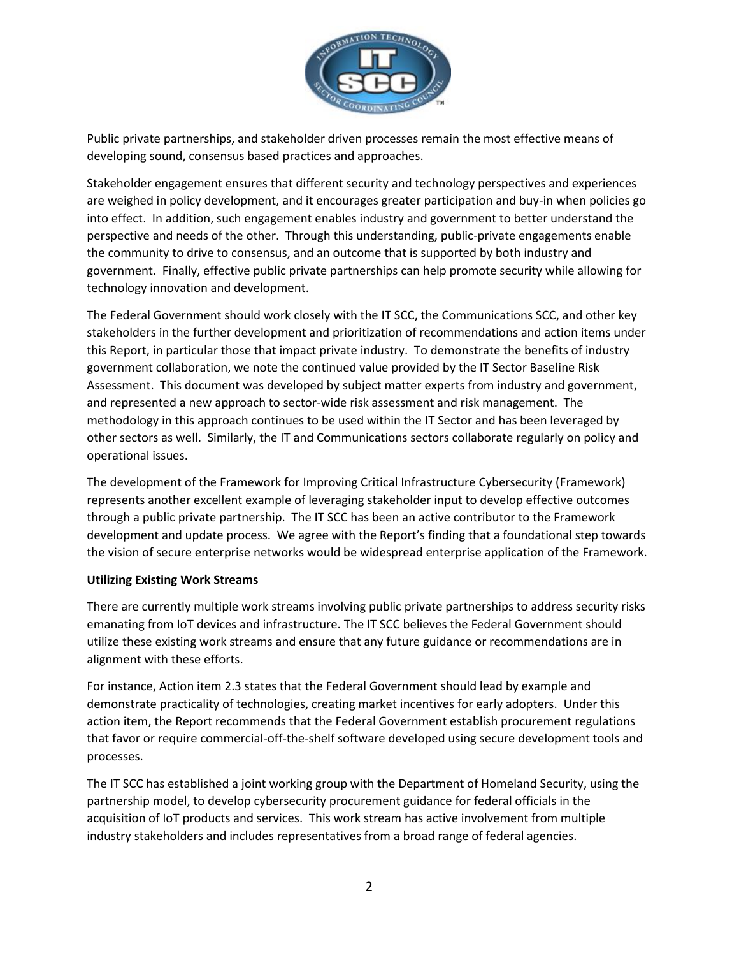

Public private partnerships, and stakeholder driven processes remain the most effective means of developing sound, consensus based practices and approaches.

Stakeholder engagement ensures that different security and technology perspectives and experiences are weighed in policy development, and it encourages greater participation and buy-in when policies go into effect. In addition, such engagement enables industry and government to better understand the perspective and needs of the other. Through this understanding, public-private engagements enable the community to drive to consensus, and an outcome that is supported by both industry and government. Finally, effective public private partnerships can help promote security while allowing for technology innovation and development.

The Federal Government should work closely with the IT SCC, the Communications SCC, and other key stakeholders in the further development and prioritization of recommendations and action items under this Report, in particular those that impact private industry. To demonstrate the benefits of industry government collaboration, we note the continued value provided by the IT Sector Baseline Risk Assessment. This document was developed by subject matter experts from industry and government, and represented a new approach to sector-wide risk assessment and risk management. The methodology in this approach continues to be used within the IT Sector and has been leveraged by other sectors as well. Similarly, the IT and Communications sectors collaborate regularly on policy and operational issues.

The development of the Framework for Improving Critical Infrastructure Cybersecurity (Framework) represents another excellent example of leveraging stakeholder input to develop effective outcomes through a public private partnership. The IT SCC has been an active contributor to the Framework development and update process. We agree with the Report's finding that a foundational step towards the vision of secure enterprise networks would be widespread enterprise application of the Framework.

#### **Utilizing Existing Work Streams**

There are currently multiple work streams involving public private partnerships to address security risks emanating from IoT devices and infrastructure. The IT SCC believes the Federal Government should utilize these existing work streams and ensure that any future guidance or recommendations are in alignment with these efforts.

For instance, Action item 2.3 states that the Federal Government should lead by example and demonstrate practicality of technologies, creating market incentives for early adopters. Under this action item, the Report recommends that the Federal Government establish procurement regulations that favor or require commercial-off-the-shelf software developed using secure development tools and processes.

The IT SCC has established a joint working group with the Department of Homeland Security, using the partnership model, to develop cybersecurity procurement guidance for federal officials in the acquisition of IoT products and services. This work stream has active involvement from multiple industry stakeholders and includes representatives from a broad range of federal agencies.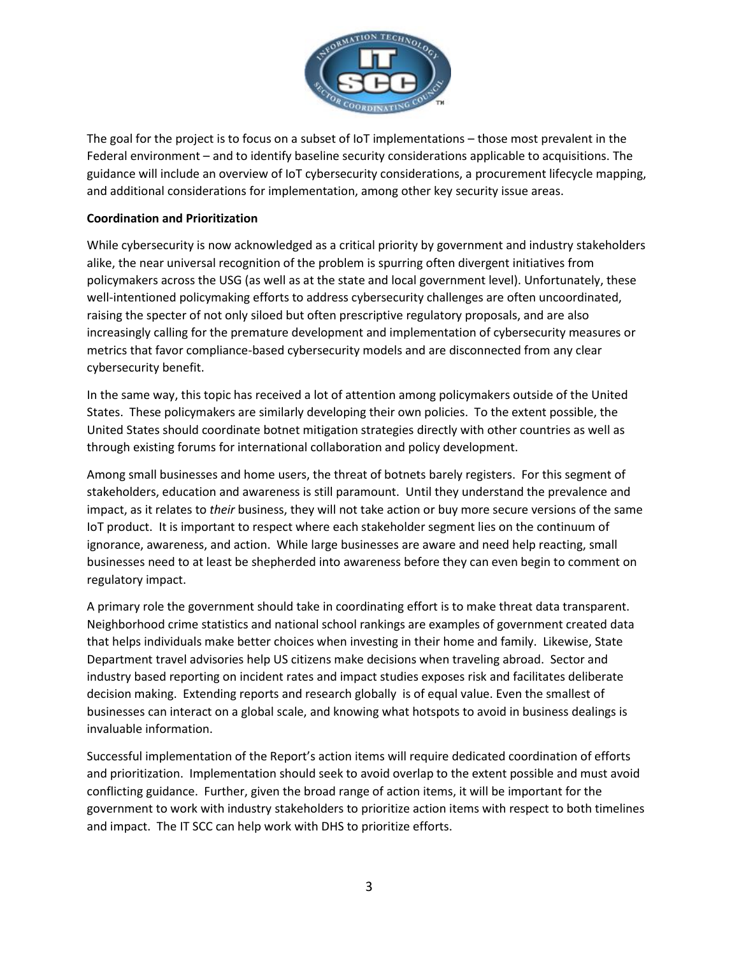

The goal for the project is to focus on a subset of IoT implementations – those most prevalent in the Federal environment – and to identify baseline security considerations applicable to acquisitions. The guidance will include an overview of IoT cybersecurity considerations, a procurement lifecycle mapping, and additional considerations for implementation, among other key security issue areas.

### **Coordination and Prioritization**

While cybersecurity is now acknowledged as a critical priority by government and industry stakeholders alike, the near universal recognition of the problem is spurring often divergent initiatives from policymakers across the USG (as well as at the state and local government level). Unfortunately, these well-intentioned policymaking efforts to address cybersecurity challenges are often uncoordinated, raising the specter of not only siloed but often prescriptive regulatory proposals, and are also increasingly calling for the premature development and implementation of cybersecurity measures or metrics that favor compliance-based cybersecurity models and are disconnected from any clear cybersecurity benefit.

In the same way, this topic has received a lot of attention among policymakers outside of the United States. These policymakers are similarly developing their own policies. To the extent possible, the United States should coordinate botnet mitigation strategies directly with other countries as well as through existing forums for international collaboration and policy development.

Among small businesses and home users, the threat of botnets barely registers. For this segment of stakeholders, education and awareness is still paramount. Until they understand the prevalence and impact, as it relates to *their* business, they will not take action or buy more secure versions of the same IoT product. It is important to respect where each stakeholder segment lies on the continuum of ignorance, awareness, and action. While large businesses are aware and need help reacting, small businesses need to at least be shepherded into awareness before they can even begin to comment on regulatory impact.

A primary role the government should take in coordinating effort is to make threat data transparent. Neighborhood crime statistics and national school rankings are examples of government created data that helps individuals make better choices when investing in their home and family. Likewise, State Department travel advisories help US citizens make decisions when traveling abroad. Sector and industry based reporting on incident rates and impact studies exposes risk and facilitates deliberate decision making. Extending reports and research globally is of equal value. Even the smallest of businesses can interact on a global scale, and knowing what hotspots to avoid in business dealings is invaluable information.

Successful implementation of the Report's action items will require dedicated coordination of efforts and prioritization. Implementation should seek to avoid overlap to the extent possible and must avoid conflicting guidance. Further, given the broad range of action items, it will be important for the government to work with industry stakeholders to prioritize action items with respect to both timelines and impact. The IT SCC can help work with DHS to prioritize efforts.